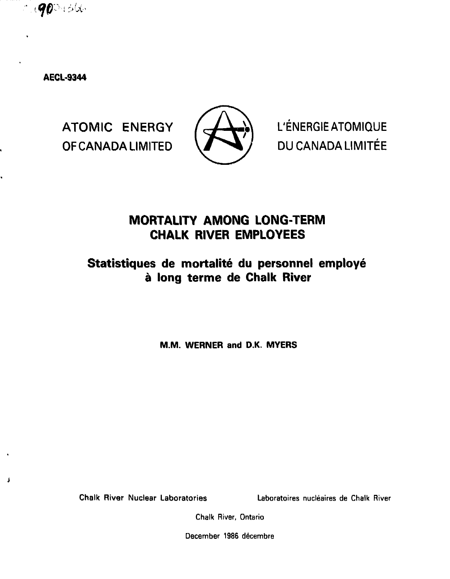

**AECl-9344**

J

OF CANADA LIMITED VAN A / DU CANADA LIMITÉE



ATOMIC ENERGY  $\left(\frac{1}{2} \right)$  L'ENERGIEATOMIQUE

# **MORTALITY AMONG LONG-TERM CHALK RIVER EMPLOYEES**

# Statistiques de mortalité du personnel employé **a long terme de Chalk River**

**M.M. WERNER and D.K. MYERS**

**Chalk River Nuclear Laboratories Laboratoires nucleates de Chalk River**

**Chalk River, Ontario**

**December 1986 decembre**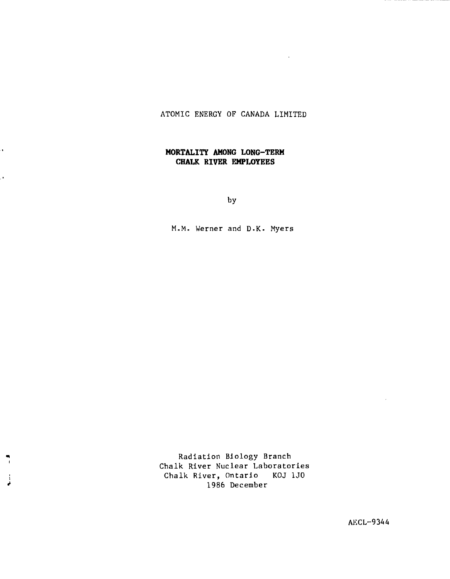# ATOMIC ENERGY OF CANADA LIMITED

# **MORTALITY AMONG LONG-TERM CHALK RIVER EMPLOYEES**

ä,

ò,

j

by

M.M. Werner and D.K. Myers

Radiation Biology Branch Chalk River Nuclear Laboratories Chalk River, Ontario KOJ 1J0 1986 December

AKCL-9344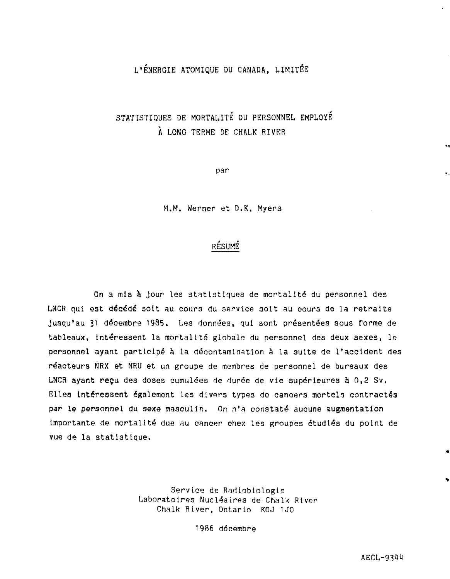# L'ENERGIE ATOMIQUE DU CANADA, LIMITEE

# STATISTIQUES DE MORTALITE DU PERSONNEL EMPLOYE À LONG TERME DE CHALK RIVER

par

M.M. Werner et D.K. Myers

# RESUME

Qn a mis à jour les statistiques de mortalité du personnel des LNCR qui est décédé soit au cours du service soit au cours de la retraite jusqu'au 31 décembre 1985. Les données, qui sont présentées sous forme de tableaux, intéressent la mortalité globale du personnel des deux sexes, le personnel ayant participé à la décontamination à la suite de l'accident des réacteurs NRX et NRU et un groupe de membres de personnel de bureaux des LNCR **ayant reçu** des doses cumulées de durée de vie supérieures à 0,2 Sv. Elles intéressent également les divers types de cancers mortels contractés par le personnel du sexe masculin. On n'a constaté aucune augmentation importante de mortalité due au cancer chez les groupes étudiés du point de vue de la statistique.

> Service de Radiobiologie Laboratoires Nucléaires de Chalk River Chalk River, Ontario KOJ 1J0

> > 1986 décembre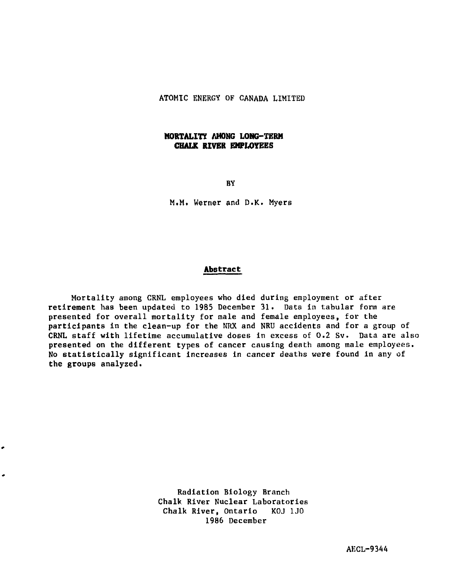# ATOMIC ENERGY OF CANADA LIMITED

# **MORTALITY AMONG LONG-TERM CHALK RIVER EMPLOYEES**

BY

M.M. Werner and D.K. Myers

# **Abstract**

Mortality among CRNL employees who died during employment or after retirement has been updated to 1985 December 31. Data in tabular form are presented for overall mortality for male and female employees, for the participants in the clean-up for the NRX and NRU accidents and for a group of CRNL staff with lifetime accumulative doses in excess of 0.2 Sv. Data are also presented on the different types of cancer causing death among male employees. No statistically significant increases in cancer deaths were found in any of the groups analyzed.

> Radiation Biology Branch Chalk River Nuclear Laboratories Chalk River, Ontario KOJ 1J0 1986 December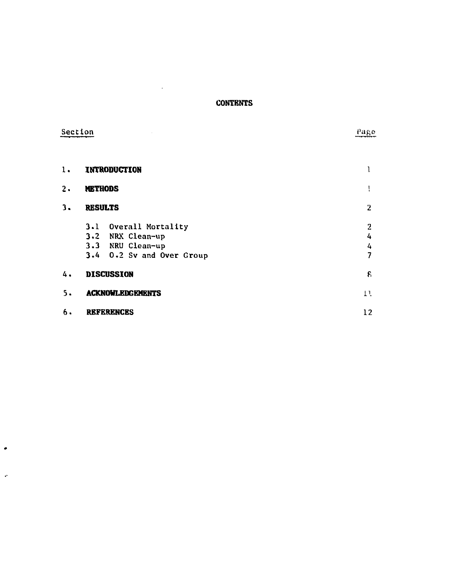# **CONTENTS**

 $\mathcal{L}(\mathcal{A})$ 

| e. |  |  | ection |
|----|--|--|--------|
|    |  |  |        |

 $\bullet$ 

 $\ddot{\phantom{a}}$ 

**Pa<sup>R</sup> e**

| 1.            | INTRODUCTION              |                |
|---------------|---------------------------|----------------|
| $\mathbf 2$ . | <b>METHODS</b>            | ï              |
| 3.            | <b>RESULTS</b>            | $\overline{2}$ |
|               | 3.1 Overall Mortality     | 2              |
|               | 3.2 NRX Clean-up          | 4              |
|               | 3.3 NRU Clean-up          | 4              |
|               | 3.4 0.2 Sv and Over Group | 7              |
| 4.            | <b>DISCUSSION</b>         | 8              |
| 5.            | <b>ACKNOWLEDGEMENTS</b>   | 11.            |
| 6.            | <b>REFERENCES</b>         | 12             |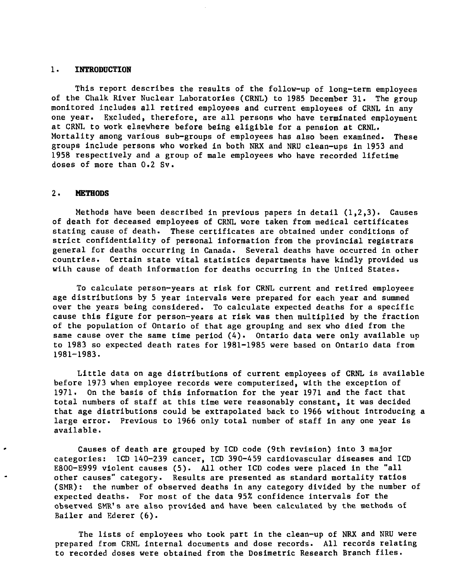#### **1. INTRODUCTION**

This report describes the results of the follow-up of long-term employees of the Chalk River Nuclear Laboratories (CRNL) to 1985 December 31. The group monitored includes all retired employees and current employees of CRNL in any one year. Excluded, therefore, are all persons who have terminated employment at CRNL to work elsewhere before being eligible for a pension at CRNL. Mortality among various sub-groups of employees has also been examined. These groups include persons who worked in both NRX and NRU clean-ups in 1953 and 1958 respectively and a group of male employees who have recorded lifetime doses of more than 0.2 Sv.

#### 2. **METHODS**

Methods have been described in previous papers in detail (1,2,3). Causes of death for deceased employees of CRNL wore taken from medical certificates stating cause of death. These certificates are obtained under conditions of strict confidentiality of personal information from the provincial registrars general for deaths occurring in Canada. Several deaths have occurred in other countries. Certain state vital statistics departments have kindly provided us with cause of death information for deaths occurring in the United States.

To calculate person-years at risk for CRNL current and retired employees age distributions by 5 year intervals were prepared for each year and summed over the years being considered. To calculate expected deaths for a specific cause this figure for person-years at risk was then multiplied by the fraction of the population of Ontario of that age grouping and sex who died from the same cause over the same time period  $(4)$ . Ontario data were only available up to 1983 so expected death rates for 1981-1985 were based on Ontario data from 1981-1983.

Little data on age distributions of current employees of CRNL is available before 1973 when employee records were computerized, with the exception of 1971. On the basis of this information for the year 1971 and the fact that total numbers of staff at this time were reasonably constant, it was decided that age distributions could be extrapolated back to 1966 without introducing a large error. Previous to 1966 only total number of staff in any one year is available.

Causes of death are grouped by ICD code (9th revision) into 3 major categories: ICD 140-239 cancer, ICD 390-459 cardiovascular diseases and ICD E800-E999 violent causes (5). All other ICD codes were placed In the "all other causes" category. Results are presented as standard mortality ratios (SMR): the number of observed deaths in any category divided by the number of expected deaths. For most of the data 95% confidence intervals for the observed SMR<sup>1</sup>s are also provided and have been calculated by the methods of Bailer and Ederer (6).

The lists of employees who took part in the clean-up of NRX and NRU were prepared from CRNL internal documents and dose records. All records relating to recorded doses were obtained from the Dosimetric Research Branch files.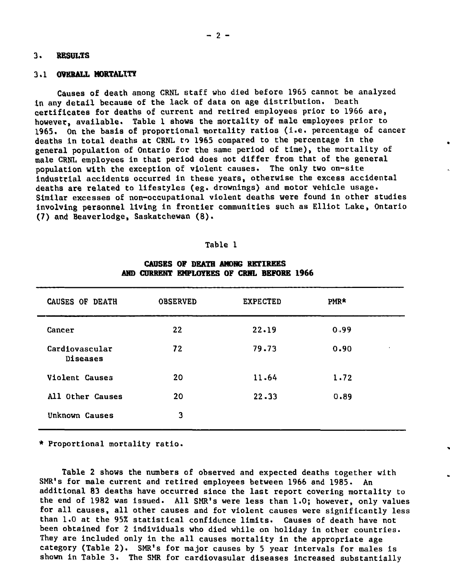# **3. RESULTS**

#### **3,1 OVERALL MORTALITY**

Causes of death among CRNL staff who died before 1965 cannot be analyzed In any detail because of the lack of data on age distribution. Death certificates for deaths of current and retired employees prior to 1966 are, however, available. Table 1 shows the mortality of male employees prior to 1965. On the basis of proportional mortality ratios (i.e. percentage of cancer deaths in total deaths at CRNL to 1965 compared to the percentage in the general population of Ontario for the same period of time), the mortality of male CRNL employees in that period does not differ from that of the general population with the exception of violent causes. The only two on-site industrial accidents occurred in these years, otherwise the excess accidental deaths are related to lifestyles (eg. drownings) and motor vehicle usage. Similar excesses of non-occupational violent deaths were found in other studies involving personnel living in frontier communities such as Elliot Lake, Ontario (7) and Beaverlodge, Saskatchewan (8).

| аb. |
|-----|
|-----|

| CAUSES OF DEATH            | <b>OBSERVED</b> | <b>EXPECTED</b> | PMR* |  |
|----------------------------|-----------------|-----------------|------|--|
| Cancer                     | 22              | 22.19           | 0.99 |  |
| Cardiovascular<br>Diseases | 72              | 79.73           | 0.90 |  |
| Violent Causes             | 20              | 11.64           | 1.72 |  |
| All Other Causes           | 20              | $22 - 33$       | 0.89 |  |
| Unknown Causes             | 3               |                 |      |  |

# CAUSES OF DEATH AMONG RETIREES **AND CURRENT EMPLOYEES OF CRHL BEFORE 1966**

\* Proportional mortality ratio.

Table 2 shows the numbers of observed and expected deaths together with SMR's for male current and retired employees between 1966 and 1985. An additional 83 deaths have occurred since the last report covering mortality to the end of 1982 was issued. All SMR's were less than 1.0; however, only values for all causes, all other causes and for violent causes were significantly less than 1.0 at the 95% statistical confidence limits. Causes of death have not been obtained for 2 individuals who died while on holiday in other countries. They are included only in the all causes mortality in the appropriate age category (Table 2). SMR's for major causes by 5 year intervals for males is shown in Table 3. The SMR for cardiovasular diseases increased substantially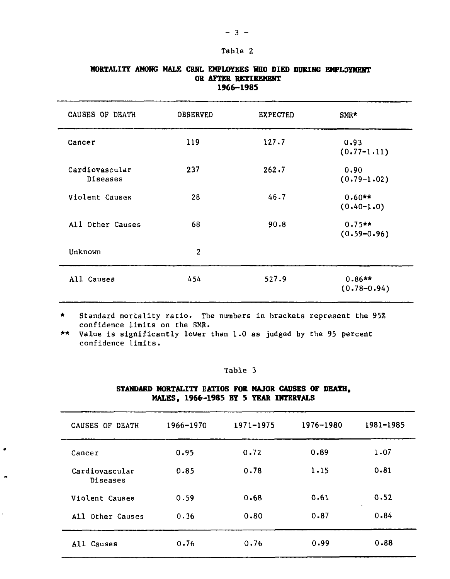#### Table 2

| CAUSES OF DEATH            | <b>OBSERVED</b> | <b>EXPECTED</b> | SMR*                        |
|----------------------------|-----------------|-----------------|-----------------------------|
| Cancer                     | 119             | 127.7           | 0.93<br>$(0.77-1.11)$       |
| Cardiovascular<br>Diseases | 237             | 262.7           | 0.90<br>$(0.79-1.02)$       |
| Violent Causes             | 28              | 46.7            | $0.60**$<br>$(0.40 - 1.0)$  |
| All Other Causes           | 68              | 90.8            | $0.75**$<br>$(0.59 - 0.96)$ |
| Unknown                    | $\overline{2}$  |                 |                             |
| All Causes                 | 454             | 527.9           | $0.86**$<br>$(0.78 - 0.94)$ |

# **MORTALITY AMONG MALE CRNL EMPLOYEES WHO DIED DURING EMPLOYMENT OR AFTER RETIREMENT 1966-1985**

\* Standard mortality ratio. The numbers in brackets represent the 95% confidence limits on the SMR.

\*\* Value is significantly lower than 1.0 as judged by the 95 percent confidence limits.

×

# Table 3

# **STANDARD MORTALITY RATIOS FOR MAJOR CAUSES OF DEATH, MALES, 1966-1985 BY 5 YEAR INTERVALS**

| CAUSES OF DEATH            | 1966-1970 | 1971-1975 | 1976-1980 | 1981-1985       |
|----------------------------|-----------|-----------|-----------|-----------------|
| Cancer                     | 0.95      | 0.72      | 0.89      | $1 - 07$        |
| Cardiovascular<br>Diseases | 0.85      | 0.78      | 1.15      | 0.81            |
| Violent Causes             | 0.59      | 0.68      | 0.61      | 0.52<br>$\cdot$ |
| All Other Causes           | 0.36      | 0.80      | 0.87      | 0.84            |
| All Causes                 | 0.76      | 0.76      | 0.99      | 0.88            |

### $- 3 -$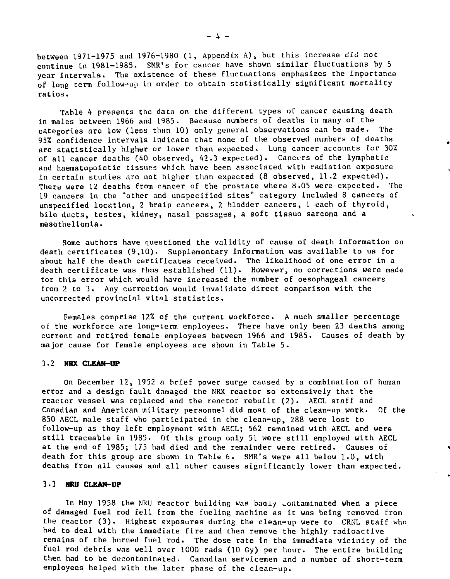between 1971-1975 and 1976-1980 (1, Appendix A), but this increase did not continue in 1981-1985. SMR's for cancer have shown similar fluctuations by 5 year intervals. The existence of these fluctuations emphasizes the importance of long term follow-up in order to obtain statistically significant mortality ratios.

Table 4 presents the data on the different types of cancer causing death in males between 1966 and 1985. Because numbers of deaths in many of the categories are low (less than 10) only general observations can be made. The 95% confidence intervals indicate that none of the observed numbers of deaths are statistically higher or lower than expected. Lung cancer accounts for 30% of all cancer deaths (40 observed, 42.3 expected). Cancers of the lymphatic and haematopoietic tissues which have been associated with radiation exposure in certain studies are not higher than expected (8 observed, 11.2 expected). There were 12 deaths from cancer of the prostate where 8.05 were expected. The 19 cancers in the "other and unspecified sites" category included 8 cancers of unspecified location, 2 brain cancers, 2 bladder cancers, 1 each of thyroid, bile ducts, testes, kidney, nasal passages, a soft tissue sarcoma and a mesotheliomia.

Some authors have questioned the validity of cause of death information on death certificates (9,10). Supplementary information was available to us for about half the death certificates received. The likelihood of one error in a death certificate was thus established (11). However, no corrections were made for this error which would have increased the number of oesophageal cancers from 2 to 3. Any correction would invalidate direct comparison with the uncorrected provincial vital statistics.

Females comprise 12% of the current workforce. A much smaller percentage of the workforce are long-term employees. There have only been 23 deaths among current and retired female employees between 1966 and 1985. Causes of death by major cause for female employees are shown in Table 5.

#### 3.2 **NRX CLEAN-DP**

On December 12, 1952 a brief power surge caused by a combination of human error and a design fault damaged the NRX reactor so extensively that the reactor vessel was replaced and the reactor rebuilt (2). AECL staff and Canadian and American military personnel did most of the clean-up work. Of the 850 AECL male staff who participated in the clean-up, 288 were lost to follow-up as they left employment with AECL; 562 remained with AECL and were still traceable in 1985. Of this group only 51 were still employed with AECL at the end of 1985; L75 had died and the remainder were retired. Causes of death for this group are shown in Table 6. SMR's were all below 1.0, with deaths from all causes and all other causes significantly lower than expected.

#### 3.3 **NRD CLEAN-UP**

In May 1958 the NRU reactor building was badiy contaminated when a piece of damaged fuel rod fell from the fueling machine as it was being removed from the reactor (3). Highest exposures during the clean-up were to CRNL staff who had to deal with the immediate fire and then remove the highly radioactive remains of the burned fuel rod. The dose rate in the immediate vicinity of the fuel rod debris was well over 1000 rads (10 Gy) per hour. The entire building then had to be decontaminated. Canadian servicemen and a number of short-term employees helped with the later phase of the clean-up.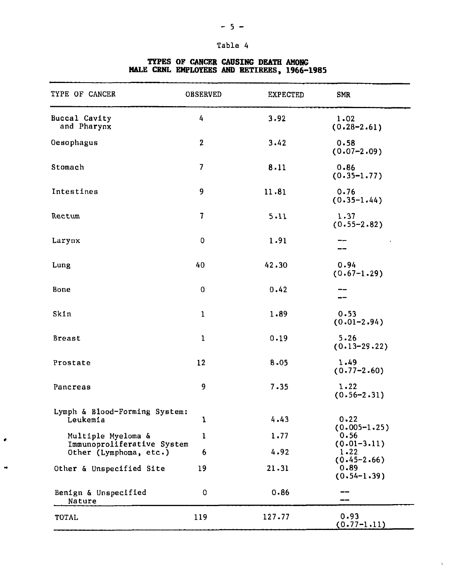#### **Table 4**

#### TYPE OF CANCER OBSERVED EXPECTED SMR Buccal Cavity 4 3.92 1.02 and Pharynx  $(0.28 - 2.61)$ Oesophagus **2** 3.42 0.58 (0.07-2.09) Stomach **7** 8.11 0.86  $(0.35 - 1.77)$ **9** Intestines 11.81 0.76  $(0.35 - 1.44)$ Rectum **7** 5.11 1.37 (0.55-2.82) Larynx  $\Omega$ 1.91 :: Lung 40 42.30 0.94  $(0.67-1.29)$ Bone  $\Omega$ 0.42 — Skin 1 1.89 0.53  $(0.01 - 2.94)$ 0.19 Breast 1 5.26 (0.13-29.22) 1.49 Prostate 12 8.05 (0.77-2.60) 9 7.35 Pancreas 1.22 (0.56-2.31) Lymph & Blood-Forming System: Leukemia 4.43 0.22 1 (0.005-1.25) Multiple Myeloma & 1 1.77 0.56 Immunoproliferative System (0.01-3.11) Other (Lymphoma, etc.) 4.92 6 1.22 (0.45-2.66) Other & Unspecified Site 19 21.31 0.89  $(0.54 - 1.39)$ Benign & Unspecified 0.86 0  $-1$ Nature  $\overline{\phantom{a}}$ 127.77 0.93 TOTAL 119  $(0.77-1.11)$

 $\bar{\mathbf{r}}$ 

٠

#### **TYPES OF CANCER CAUSING DEATH AMONG MALE CRNL EMPLOYEES AND RETIREES, 1966-1985**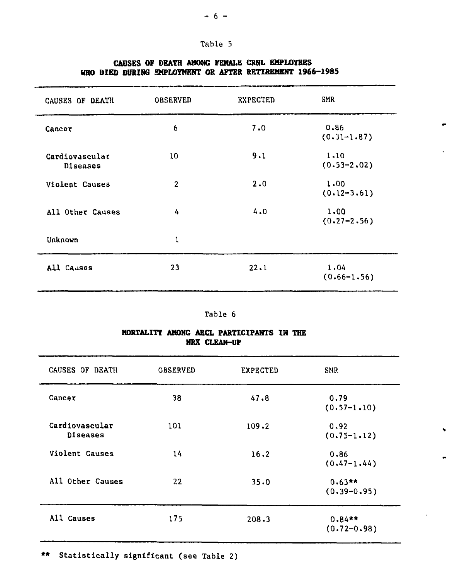| π.<br>л. | abl | ÷ |  |
|----------|-----|---|--|
|          |     |   |  |

| CAUSES OF DEATH            | <b>OBSERVED</b> | <b>EXPECTED</b> | SMR                     |
|----------------------------|-----------------|-----------------|-------------------------|
| Cancer                     | 6               | 7.0             | 0.86<br>$(0.31 - 1.87)$ |
| Cardiovascular<br>Diseases | 10              | 9.1             | 1,10<br>$(0.53 - 2.02)$ |
| Violent Causes             | $\overline{2}$  | 2.0             | 1.00<br>$(0.12 - 3.61)$ |
| All Other Causes           | 4               | 4.0             | 1.00<br>$(0.27 - 2.56)$ |
| Unknown                    | ı               |                 |                         |
| All Causes                 | 23              | 22.1            | 1.04<br>$(0.66 - 1.56)$ |

# **CAUSES OF DEATH AMONG FEMALE CHHL EMPLOYEES HBO DIED DURING EMPLOYMENT OR AFTER RETIREMENT 1966-1985**

|  | MORTALITY AMONG AECL PARTICIPANTS IN THE |  |
|--|------------------------------------------|--|
|  | NRX CLEAN-UP                             |  |

| CAUSES OF DEATH            | <b>OBSERVED</b> | <b>EXPECTED</b> | SMR                          |
|----------------------------|-----------------|-----------------|------------------------------|
| Cancer                     | 38              | 47.8            | 0.79<br>$(0.57 - 1.10)$      |
| Cardiovascular<br>Diseases | 101             | 109.2           | 0.92<br>$(0.75 - 1.12)$      |
| <b>Violent Causes</b>      | 14              | 16.2            | 0.86<br>$(0.47 - 1.44)$      |
| All Other Causes           | 22              | 35.0            | $0.63**$<br>$(0.39 - 0.95)$  |
| All Causes                 | 175             | 208.3           | $0.84***$<br>$(0.72 - 0.98)$ |

\*\* Statistically significant (see Table 2)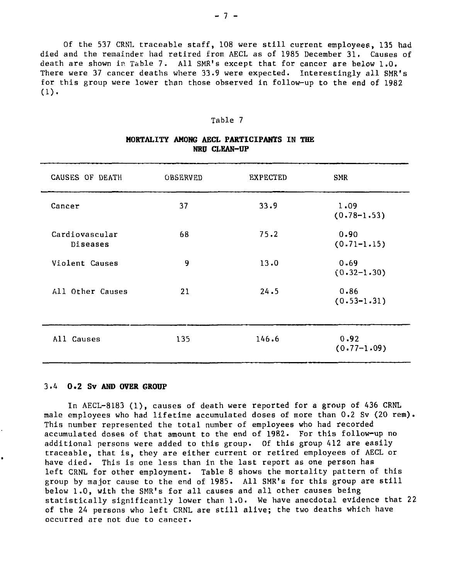Of the 537 CRNL traceable staff, 108 were still current employees, 135 had died and the remainder had retired from AECL as of 1985 December 31. Causes of death are shown in Table 7. All SMR's except that for cancer are below 1.0. There were 37 cancer deaths where 33.9 were expected. Interestingly all SMR's for this group were lower than those observed in follow-up to the end of 1982  $(1).$ 

#### Table 7

| CAUSES OF DEATH            | <b>OBSERVED</b> | <b>EXPECTED</b> | <b>SMR</b>              |
|----------------------------|-----------------|-----------------|-------------------------|
| Cancer                     | 37              | 33.9            | 1.09<br>$(0.78 - 1.53)$ |
| Cardiovascular<br>Diseases | 68              | 75.2            | 0.90<br>$(0.71 - 1.15)$ |
| Violent Causes             | 9               | 13.0            | 0.69<br>$(0.32 - 1.30)$ |
| All Other Causes           | 21              | 24.5            | 0.86<br>$(0.53 - 1.31)$ |
| All Causes                 | 135             | 146.6           | 0.92<br>$(0.77 - 1.09)$ |

# **MORTALITY AMONG AECL PARTICIPANTS IN THE NRU CLEAN-OP**

#### 3.4 **0.2 Sv AND OVER GROUP**

In AECL-8183 (1), causes of death were reported for a group of 436 CRNL male employees who had lifetime accumulated doses of more than 0.2 Sv (20 rem). This number represented the total number of employees who had recorded accumulated doses of that amount to the end of 1982. For this follow-up no additional persons were added to this group. Of this group 412 are easily traceable, that is, they are either current or retired employees of AECL or have died. This is one less than in the last report as one person has left CRNL for other employment. Table 8 shows the mortality pattern of this group by major cause to the end of 1985. All SMR's for this group are still below 1.0, with the SMR's for all causes and all other causes being statistically significantly lower than 1.0. We have anecdotal evidence that 22 of the 24 persons who left CRNL are still alive; the two deaths which have occurred are not due to cancer.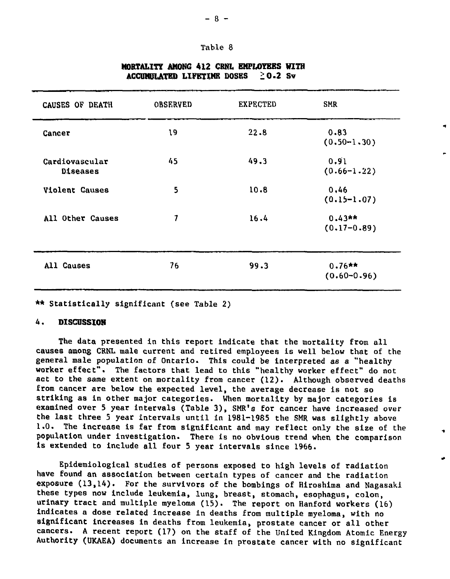#### Table 8

| CAUSES OF DEATH            | <b>OBSERVED</b> | <b>EXPECTED</b> | <b>SMR</b>                  |  |
|----------------------------|-----------------|-----------------|-----------------------------|--|
| Cancer                     | 19              | 22.8            | 0.83<br>$(0.50 - 1.30)$     |  |
| Cardiovascular<br>Diseases | 45              | 49.3            | 0.91<br>$(0.66 - 1.22)$     |  |
| <b>Violent Causes</b>      | 5               | 10.8            | 0.46<br>$(0.15 - 1.07)$     |  |
| All Other Causes           | 7               | 16.4            | $0.43**$<br>$(0.17 - 0.89)$ |  |
| All Causes                 | 76              | 99.3            | $0.76**$<br>$(0.60 - 0.96)$ |  |

# **MORTALITY AMONG 412 CRNl BMPI4YBES KITH ACCUMULATED LIFETIME DOSES 20.2 Sv**

\*\* Statistically significant (see Table 2)

#### 4. **DISCUSSION**

The data presented in this report indicate that the mortality from all causes among CRNL male current and retired employees is well below that of the general male population of Ontario. This could be interpreted as a "healthy worker effect". The factors that lead to this "healthy worker effect" do not act to the same extent on mortality from cancer (12). Although observed deaths from cancer are below the expected level, the average decrease is not so striking as in other major categories. When mortality by major categories is examined over 5 year intervals (Table 3), SMR's for cancer have increased over the last three 5 year intervals until in 1981-1985 the SMR was slightly above 1.0. The increase is far from significant and may reflect only the size of the population under investigation. There is no obvious trend when the comparison is extended to include all four 5 year intervals since 1966.

Epidemiological studies of persons exposed to high levels of radiation have found an association between certain types of cancer and the radiation exposure (13,14). For the survivors of the bombings of Hiroshima and Nagasaki these types now include leukemia, lung, breast, stomach, esophagus, colon, urinary tract and multiple myeloma (15). The report on Hanford workers (16) indicates a dose related increase in deaths from multiple myeloma, with no significant increases in deaths from leukemia, prostate cancer or all other cancers. A recent report (17) on the staff of the United Kingdom Atomic Energy Authority (UKAEA) documents an increase in prostate cancer with no significant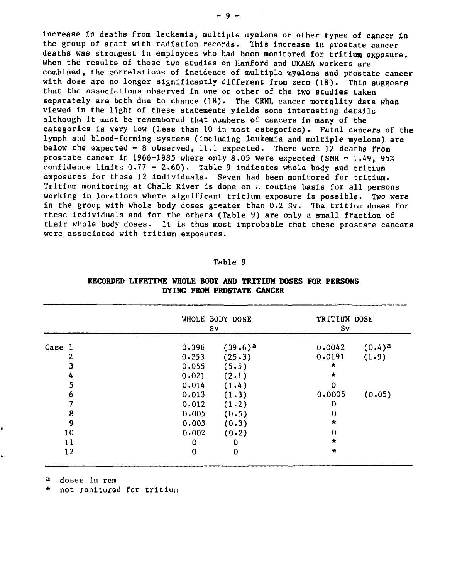increase in deaths from leukemia, multiple myeloma or other types of cancer in the group of staff with radiation records. This increase in prostate cancer deaths was strongest in employees who had been monitored for tritium exposure. When the results of these two studies on Hanford and UKAEA workers are combined, the correlations of incidence of multiple myeloma and prostate cancer with dose are no longer significantly different from zero (18). This suggests that the associations observed in one or other of the two studies taken separately are both due to chance (18). The CRNL cancer mortality data when viewed in the light of these statements yields some interesting details although it must be remembered that numbers of cancers in many of the categories is very low (less than 10 in most categories). Fatal cancers of the lymph and blood-forming systems (including leukemia and multiple myeloma) are below the expected - 8 observed, 11.1 expected. There were 12 deaths from prostate cancer in 1966-1985 where only  $8.05$  were expected (SMR = 1.49, 95%) confidence limits  $0.77 - 2.60$ ). Table 9 indicates whole body and tritium exposures for these 12 individuals. Seven had been monitored for tritium. Tritium monitoring at Chalk River is done on a routine basis for all persons working in locations where significant tritium exposure is possible. Two were in the group with whola body doses greater than 0.2 Sv. The tritium doses for these individuals and for the others (Table 9) are only a small fraction of their whole body doses. It is thus most improbable that these prostate cancers were associated with tritium exposures.

#### Table 9

| Case 1 | WHOLE BODY DOSE<br>Sv |            | TRITIUM DOSE<br>Sv |           |
|--------|-----------------------|------------|--------------------|-----------|
|        | 0.396                 | $(39.6)^a$ | 0.0042             | $(0.4)^a$ |
|        | 0.253                 | (25.3)     | 0.0191             | (1.9)     |
|        | 0.055                 | (5.5)      | $\star$            |           |
| 4      | 0.021                 | (2.1)      | $\star$            |           |
|        | 0.014                 | (1.4)      | $\Omega$           |           |
| n      | 0.013                 | (1.3)      | 0.0005             | (0.05)    |
|        | 0.012                 | (1.2)      | 0                  |           |
| 8      | 0.005                 | (0.5)      | 0                  |           |
| 9      | 0.003                 | (0.3)      | $\star$            |           |
| 10     | 0.002                 | (0.2)      | 0                  |           |
| 11     | 0                     | 0          | $\star$            |           |
| 12     | 0                     | 0          | $\star$            |           |

### **RECORDED LIFETIME WHOLE BODY AND TRITIUM DOSES FOR PERSONS DYING FROM PROSTATE CANCER**

<sup>a</sup> doses in rem

\* not monitored for tritium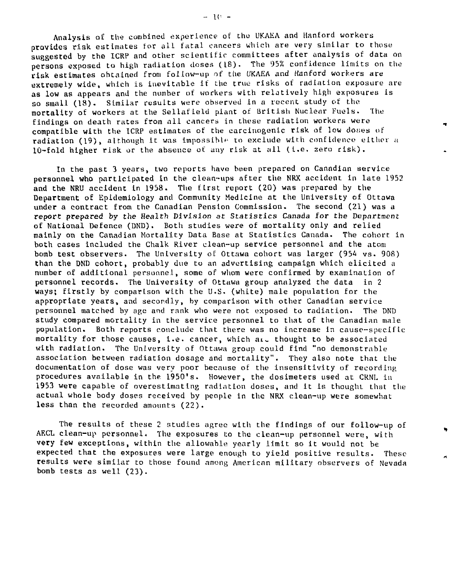Analysis of the combined experience of the UKAEA and Hanford workers provides risk estimates for all fatal cancers which are very similar to those suggested by the ICRP and other scientific committees after analysis of data on persons exposed to high radiation doses (18). The 95% confidence limits on the risk estimates obtained from follow-up of the UKAEA and Hanford workers are extremely wide, which is inevitable if the true risks of radiation exposure are as low as appears and the number of workers with relatively high exposures is so small (18). Similar results were observed in a recent study of the mortality of workers at the Sellafield plant of British Nuclear Fuels. The findings on death rates from all cancers in these radiation workers were compatible with the ICRP estimates of the carcinogenic risk of low doues of radiation (19), although it was impossible to exclude with confidence either a 10-fold higher risk or the absence of any risk at all (I.e. aero risk).

In the past 3 years, two reports have been prepared on Canadian service personnel who participated in the clean-ups after the NRX accident in late 1952 and the NRU accident in 1958. The first report (20) was prepared by the Department of Epidemiology and Community Medicine at the University of Ottawa under a contract from the Canadian Pension Commission. The second (21) was a report prepared by the Health Division at Statistics Canada for the Department of National Defence (DND). Both studies were of mortality only and relied mainly on the Canadian Mortality Data Base at Statistics Canada. The cohort in both cases included the Chalk River clean-up service personnel and the atom bomb test observers. The University of Ottawa cohort was larger (954 vs. 90S) than the DND cohort, probably due to an advertising campaign which elicited a number of additional personnel, some of whom were confirmed by examination of personnel records. The University of Ottawa group analyzed the data in 2 ways; firstly by comparison with the U.S. (white) male population for the appropriate years, and secondly, by comparison with other Canadian service personnel matched by age and rank who were not exposed to radiation. The DND study compared mortality in the service personnel to that of the Canadian male population. Both reports conclude that there was no increase in cause-specific mortality for those causes, i.e. cancer, which  $ar \text{ } c$  thought to be associated with radiation. The University of Ottawa group could find "no demonstrable association between radiation dosage and mortality". They also note that the documentation of dose was very poor because of the insensitivity of recording procedures available in the 1950's. However, the dosimeters used at CRNL in 1953 were capable of overestimating radiation doses, and it is thought that the actual whole body doses received by people in the NRX clean-up were somewhat less than the recorded amounts (22).

The results of these 2 studies agree with the findings of our follow-up of AF.CL clean-up personnel. The exposures to the clean-up personnel were, with very few exceptions, within the allowable yearly limit so it would not be expected that the exposures were large enough to yield positive results. These results were similar to those found among American military observers of Nevada bomb tests as well (23).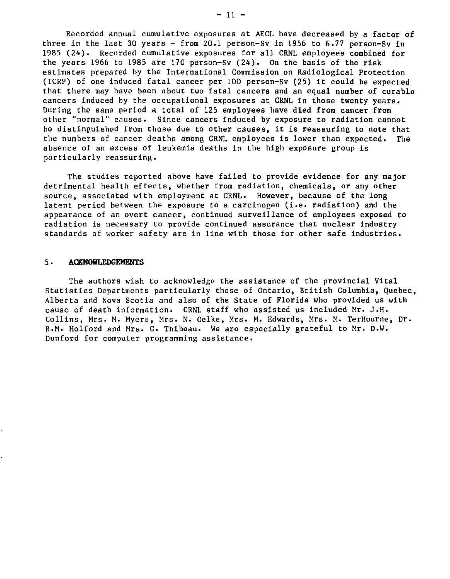Recorded annual cumulative exposures at AECL have decreased by a factor of three in the last 30 years - from 20.1 person-Sv in 1956 to 6.77 person-Sv in 1985 (24). Recorded cumulative exposures for all CRNL employees combined for the years 1966 to 1985 are 170 person-Sv (24). On the basis of the risk estimates prepared by the International Commission on Radiological Protection (1CRP) of one induced fatal cancer per 100 person-Sv (25) it could be expected that there may have been about two fatal cancers and an equal number of curable cancers induced by the occupational exposures at CRNL in those twenty years. During the same period a total of 125 employees have died from cancer from other "normal" causes. Since cancers induced by exposure to radiation cannot be distinguished from those due to other causes, it is reassuring to note that the numbers of cancer deaths among CRNL employees is lower than expected. The absence of an excess of leukemia deaths in the high exposure group is particularly reassuring.

The studies reported above have failed to provide evidence for any major detrimental health effects, whether from radiation, chemicals, or any other source, associated with employment at CRNL. However, because of the long latent period between the exposure to a carcinogen (i.e. radiation) and the appearance of an overt cancer, continued surveillance of employees exposed to radiation is necessary to provide continued assurance that nuclear industry standards of worker safety are in line with those for other safe industries.

#### 5 • **ACKNOHLEDGEMENTS**

The authors wish to acknowledge the assistance of the provincial Vital Statistics Departments particularly those of Ontario, British Columbia, Quebec, Alberta and Nova Scotia and also of the State of Florida who provided us with cause of death information. CRNL staff who assisted us included Mr. J.H. Collins, Mrs. M. Myers, Mrs. N. Oelke, Mrs. M. Edwards, Mrs. M. TerHuurne, Dr. R.M. Holford and Mrs. C. Thibeau. We are especially grateful to Mr. D.W. Dunford for computer programming assistance.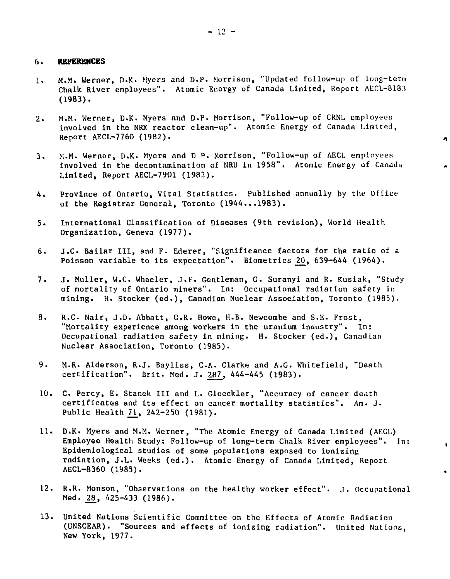#### **6. REFERENCES**

- 1. M.M. Werner, D.K. Myers and D.P, Morrison, "Updated follow-up of long-term Chalk River employees". Atomic Energy of Canada Limited, Report AECL-8183 (1983).
- 2. M.M. Werner, D.K. Myers and D.P. Morrison, "Follow-up of CRNL employees involved in the NRX reactor clean-up". Atomic Energy of Canada Limited, Report AECL-7760 (1982).

×.

- 3. M.M. Werner, D.K. Myers and D P. Morrison, "Follow-up of AECL employees involved in the decontamination of NRU in 1958". Atomic Energy of Canada Limited, Report AECL-7901 (1982).
- 4. Province of Ontario, Vital Statistics. Published annually by the Office of the Registrar General, Toronto (1944...1983).
- 5. International Classification of Diseases (9th revision), World Health Organization, Geneva (1977).
- 6. J.C Bailar III, and F. Ederer, "Significance factors for the ratio of a Poisson variable to its expectation". Biometrics 20, 639-644 (1964).
- 7. J. Muller, W.C. Wheeler, J.F. Gentleman, G. Suranyi and R. Kusiak, "Study of mortality of Ontario miners". In: Occupational radiation safety in mining. H. Stocker (ed.), Canadian Nuclear Association, Toronto (1985).
- 8. R.C. Nair, J.D. Abbatt, G.R. Howe, H.B. Newcombe and S.E. Frost, "Mortality experience among workers in the uranium industry". In: Occupational radiation safety in mining. H. Stocker (ed.), Canadian Nuclear Association, Toronto (1985).
- 9. M.R. Alderson, R.J. Bayliss, C.A. Clarke and A.G. Whitefield, "Death certification". Brit. Med. J. 287, 444-445 (1983).
- 10. C. Percy, E. Stanek III and L. Gloeckler, "Accuracy of cancer death certificates and its effect on cancer mortality statistics". Am. J. Public Health 21, 242-250 (1981).
- 11. D.K. Myers and M.M. Werner, "The Atomic Energy of Canada Limited (AECL) Employee Health Study: Follow-up of long-term Chalk River employees". In: Epldemiological studies of some populations exposed to ionizing radiation, J.L. Weeks (ed.). Atomic Energy of Canada Limited, Report AECL-8360 (1985).
- 12. R.R. Monson, "Observations on the healthy worker effect". J. Occupational Med. 28, 425-433 (1986).
- 13. United Nations Scientific Committee on the Effects of Atomic Radiation (UNSCEAR). "Sources and effects of ionizing radiation". United Nations, New York, 1977.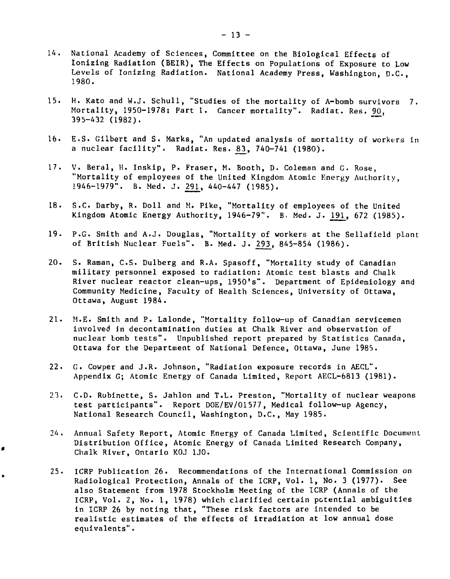- 14. National Academy of Sciences, Committee on the Biological Effects of Ionizing Radiation (BEIR), The Effects on Populations of Exposure to Low Levels of Ionizing Radiation. National Academy Press, Washington, D.C., 1980.
- 15. H. Kato and W.J. Schull, "Studies of the mortality of A-bomb survivors 7. Mortality, 1950-1978: Part 1. Cancer mortality". Radiat. Res. 90, 395-432 (1982).
- 16. E.S. Gilbert and S. Marks, "An updated analysis of mortality of workers in a nuclear facility". Radiat. Res. 83, 740-741 (1980).
- 17. V. Beral, H. Inskip, P. Fraser, M. Booth, D. Coleman and G. Rose, "Mortality of employees of the United Kingdom Atomic Energy Authority, 1946-1979". B. Med. J. 291, 440-447 (1985).
- 18. S.C. Darby, R. Doll and M. Pike, "Mortality of employees of the United Kingdom Atomic Energy Authority, 1946-79". B. Med. J. 191, 672 (1985).
- 19. P.G. Smith and A.J. Douglas, "Mortality of workers at the Sellafield plant of British Nuclear Fuels". B. Med. J. 293, 845-854 (1986).
- 20. S. Raman, C.S. Dulberg and R.A. Spasoff, "Mortality study of Canadian military personnel exposed to radiation: Atomic test blasts and Chalk River nuclear reactor clean-ups, 1950's". Department of Epidemiology and Community Medicine, Faculty of Health Sciences, University of Ottawa, Ottawa, August 1984.
- 21. M.E. Smith and P. Lalonde, "Mortality follow-up of Canadian servicemen involved Jn decontamination duties at Chalk River and observation of nuclear bomb tests". Unpublished report prepared by Statistics Canada, Ottawa for the Department of National Defence, Ottawa, June 1985.
- 22. G. Cowper and J.R. Johnson, "Radiation exposure records in AECL". Appendix G; Atomic Energy of Canada Limited, Report AECL-6813 (1981).
- 23. C.D. Robinette, S. Jahlon and T.L. Preston, "Mortality of nuclear weapons test participants". Report DOE/EV/01577, Medical follow-up Agency, National Research Council, Washington, D.C., May 1985.
- 24. Annual Safety Report, Atomic Energy of Canada Limited, Scientific Document Distribution Office, Atomic Energy of Canada Limited Research Company, Chalk River, Ontario K0J 1J0.
- 25. ICRP Publication 26. Recommendations of the International Commission on Radiological Protection, Annals of the ICRP, Vol. 1, No. 3 (1977). See also Statement from 1978 Stockholm Meeting of the ICRP (Annals of the ICRP, Vol. 2, No. 1, 1978) which clarified certain potential ambiguities in ICRP 26 by noting that, "These risk factors are intended to be realistic estimates of the effects of irradiation at low annual dose equivalents".